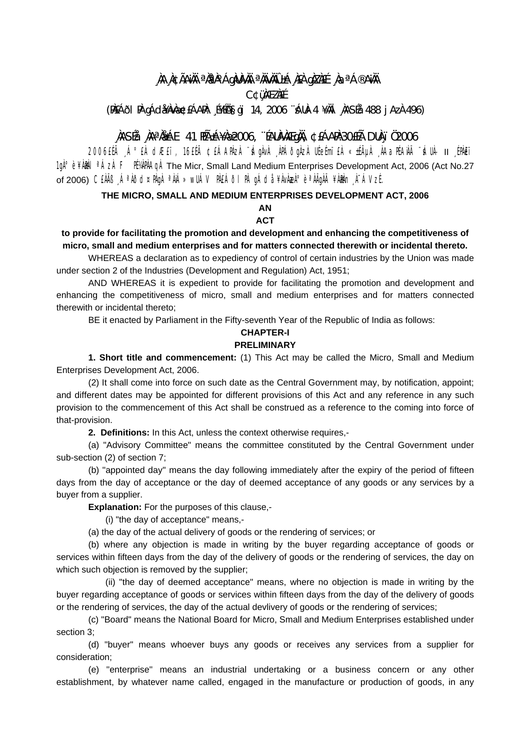# **¸ÀA¸À¢ÃAiÀÄ ªÀåªÀºÁgÀUÀ¼ÀÄ ªÀÄvÀÄÛ ±Á¸À£À gÀZÀ£É ¸ÀaªÁ®AiÀÄ**

**C¢ü¸ÀÆZÀ£É** 

**(PÀ£ÁðlPÀ gÁdå¥ÀvÀæ ¢£ÁAPÀ: ¸É¥ÉÖA§gï 14, 2006 ¨sÁUÀ-4 ¥ÀÄl¸ÀASÉå: 488 jAzÀ 496)** 

# **¸ÀASÉå: ¸ÀAªÀå±ÁE 41 PÉñÁ¥Àæ 2006, ¨ÉAUÀ¼ÀÆgÀÄ, ¢£ÁAPÀ:30£Éà DUÀ¸ïÖ 2006**

2006£Éà Á°£À dÆ£ï, 16£Éà ¢£ÁAPÀzÀ ¨SÁgÀvÀ ÀPÁðgÀzÀ UÉeÉmï£À «±ÉÃUÀ ÀAaPÉAÌÀÄ ¨SÁUÀ- II ÉPÀ€ï 1gˡè ¥ÀMÀL <sup>a</sup>ÁzÀ F PɼPÀAgÀ The Micr, Small Land Medium Enterprises Development Act, 2006 (Act No.27) of 2006) C£ÀÄB ¸ÁªÀðd¤PÀqÀ ªÀiÁ»wUÁV PÀ£ÁðI PÀ qÁdå ¥ÀvÀæÀ°è ªÀÄgÀÄ ¥À&h¬,À¯ÁVzÉ.

#### **THE MICRO, SMALL AND MEDIUM ENTERPRISES DEVELOPMENT ACT, 2006 AN**

# **ACT**

### **to provide for facilitating the promotion and development and enhancing the competitiveness of micro, small and medium enterprises and for matters connected therewith or incidental thereto.**

WHEREAS a declaration as to expediency of control of certain industries by the Union was made under section 2 of the Industries (Development and Regulation) Act, 1951;

AND WHEREAS it is expedient to provide for facilitating the promotion and development and enhancing the competitiveness of micro, small and medium enterprises and for matters connected therewith or incidental thereto;

BE it enacted by Parliament in the Fifty-seventh Year of the Republic of India as follows:

# **CHAPTER-I**

## **PRELIMINARY**

**1. Short title and commencement:** (1) This Act may be called the Micro, Small and Medium Enterprises Development Act, 2006.

(2) It shall come into force on such date as the Central Government may, by notification, appoint; and different dates may be appointed for different provisions of this Act and any reference in any such provision to the commencement of this Act shall be construed as a reference to the coming into force of that-provision.

**2. Definitions:** In this Act, unless the context otherwise requires,-

(a) "Advisory Committee" means the committee constituted by the Central Government under sub-section (2) of section 7;

(b) "appointed day'' means the day following immediately after the expiry of the period of fifteen days from the day of acceptance or the day of deemed acceptance of any goods or any services by a buyer from a supplier.

**Explanation:** For the purposes of this clause,-

(i) "the day of acceptance" means,-

(a) the day of the actual delivery of goods or the rendering of services; or

(b) where any objection is made in writing by the buyer regarding acceptance of goods or services within fifteen days from the day of the delivery of goods or the rendering of services, the day on which such objection is removed by the supplier;

(ii) "the day of deemed acceptance" means, where no objection is made in writing by the buyer regarding acceptance of goods or services within fifteen days from the day of the delivery of goods or the rendering of services, the day of the actual devlivery of goods or the rendering of services;

(c) "Board" means the National Board for Micro, Small and Medium Enterprises established under section 3;

(d) "buyer" means whoever buys any goods or receives any services from a supplier for consideration;

(e) "enterprise" means an industrial undertaking or a business concern or any other establishment, by whatever name called, engaged in the manufacture or production of goods, in any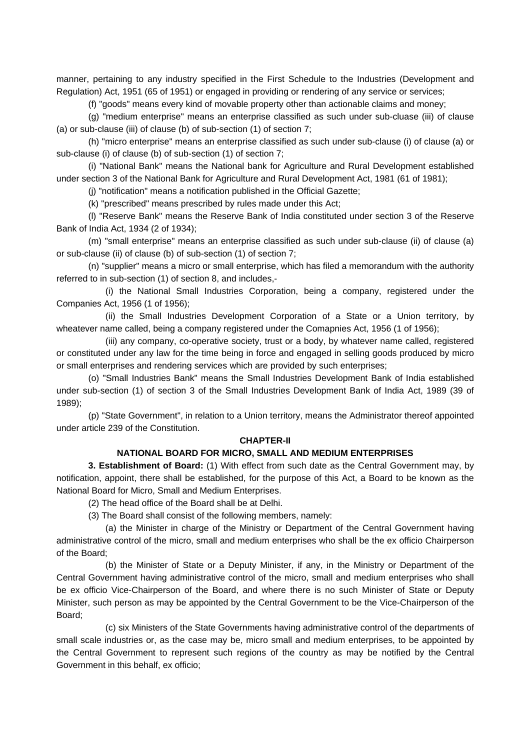manner, pertaining to any industry specified in the First Schedule to the Industries (Development and Regulation) Act, 1951 (65 of 1951) or engaged in providing or rendering of any service or services;

(f) "goods" means every kind of movable property other than actionable claims and money;

 (g) "medium enterprise" means an enterprise classified as such under sub-cluase (iii) of clause (a) or sub-clause (iii) of clause (b) of sub-section (1) of section 7;

 (h) "micro enterprise" means an enterprise classified as such under sub-clause (i) of clause (a) or sub-clause (i) of clause (b) of sub-section (1) of section 7;

 (i) "National Bank" means the National bank for Agriculture and Rural Development established under section 3 of the National Bank for Agriculture and Rural Development Act, 1981 (61 of 1981);

(j) "notification" means a notification published in the Official Gazette;

(k) "prescribed" means prescribed by rules made under this Act;

 (l) "Reserve Bank" means the Reserve Bank of India constituted under section 3 of the Reserve Bank of India Act, 1934 (2 of 1934);

 (m) "small enterprise" means an enterprise classified as such under sub-clause (ii) of clause (a) or sub-clause (ii) of clause (b) of sub-section (1) of section 7;

 (n) "supplier" means a micro or small enterprise, which has filed a memorandum with the authority referred to in sub-section (1) of section 8, and includes,-

 (i) the National Small Industries Corporation, being a company, registered under the Companies Act, 1956 (1 of 1956);

 (ii) the Small Industries Development Corporation of a State or a Union territory, by wheatever name called, being a company registered under the Comapnies Act, 1956 (1 of 1956);

 (iii) any company, co-operative society, trust or a body, by whatever name called, registered or constituted under any law for the time being in force and engaged in selling goods produced by micro or small enterprises and rendering services which are provided by such enterprises;

 (o) "Small Industries Bank" means the Small Industries Development Bank of India established under sub-section (1) of section 3 of the Small Industries Development Bank of India Act, 1989 (39 of 1989);

 (p) "State Government", in relation to a Union territory, means the Administrator thereof appointed under article 239 of the Constitution.

#### **CHAPTER-II**

### **NATIONAL BOARD FOR MICRO, SMALL AND MEDIUM ENTERPRISES**

**3. Establishment of Board:** (1) With effect from such date as the Central Government may, by notification, appoint, there shall be established, for the purpose of this Act, a Board to be known as the National Board for Micro, Small and Medium Enterprises.

(2) The head office of the Board shall be at Delhi.

(3) The Board shall consist of the following members, namely:

 (a) the Minister in charge of the Ministry or Department of the Central Government having administrative control of the micro, small and medium enterprises who shall be the ex officio Chairperson of the Board;

 (b) the Minister of State or a Deputy Minister, if any, in the Ministry or Department of the Central Government having administrative control of the micro, small and medium enterprises who shall be ex officio Vice-Chairperson of the Board, and where there is no such Minister of State or Deputy Minister, such person as may be appointed by the Central Government to be the Vice-Chairperson of the Board;

 (c) six Ministers of the State Governments having administrative control of the departments of small scale industries or, as the case may be, micro small and medium enterprises, to be appointed by the Central Government to represent such regions of the country as may be notified by the Central Government in this behalf, ex officio;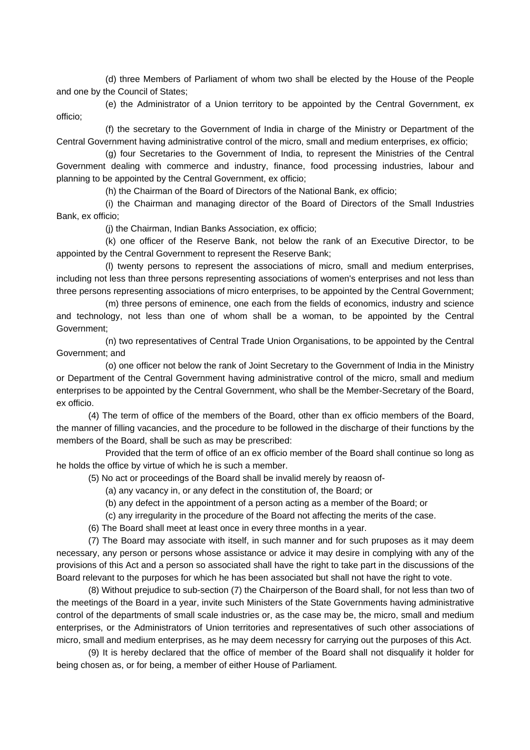(d) three Members of Parliament of whom two shall be elected by the House of the People and one by the Council of States;

 (e) the Administrator of a Union territory to be appointed by the Central Government, ex officio;

 (f) the secretary to the Government of India in charge of the Ministry or Department of the Central Government having administrative control of the micro, small and medium enterprises, ex officio;

 (g) four Secretaries to the Government of India, to represent the Ministries of the Central Government dealing with commerce and industry, finance, food processing industries, labour and planning to be appointed by the Central Government, ex officio;

(h) the Chairman of the Board of Directors of the National Bank, ex officio;

 (i) the Chairman and managing director of the Board of Directors of the Small Industries Bank, ex officio;

(j) the Chairman, Indian Banks Association, ex officio;

 (k) one officer of the Reserve Bank, not below the rank of an Executive Director, to be appointed by the Central Government to represent the Reserve Bank;

 (l) twenty persons to represent the associations of micro, small and medium enterprises, including not less than three persons representing associations of women's enterprises and not less than three persons representing associations of micro enterprises, to be appointed by the Central Government;

 (m) three persons of eminence, one each from the fields of economics, industry and science and technology, not less than one of whom shall be a woman, to be appointed by the Central Government;

 (n) two representatives of Central Trade Union Organisations, to be appointed by the Central Government; and

 (o) one officer not below the rank of Joint Secretary to the Government of India in the Ministry or Department of the Central Government having administrative control of the micro, small and medium enterprises to be appointed by the Central Government, who shall be the Member-Secretary of the Board, ex officio.

 (4) The term of office of the members of the Board, other than ex officio members of the Board, the manner of filling vacancies, and the procedure to be followed in the discharge of their functions by the members of the Board, shall be such as may be prescribed:

 Provided that the term of office of an ex officio member of the Board shall continue so long as he holds the office by virtue of which he is such a member.

(5) No act or proceedings of the Board shall be invalid merely by reaosn of-

(a) any vacancy in, or any defect in the constitution of, the Board; or

(b) any defect in the appointment of a person acting as a member of the Board; or

(c) any irregularity in the procedure of the Board not affecting the merits of the case.

(6) The Board shall meet at least once in every three months in a year.

 (7) The Board may associate with itself, in such manner and for such pruposes as it may deem necessary, any person or persons whose assistance or advice it may desire in complying with any of the provisions of this Act and a person so associated shall have the right to take part in the discussions of the Board relevant to the purposes for which he has been associated but shall not have the right to vote.

 (8) Without prejudice to sub-section (7) the Chairperson of the Board shall, for not less than two of the meetings of the Board in a year, invite such Ministers of the State Governments having administrative control of the departments of small scale industries or, as the case may be, the micro, small and medium enterprises, or the Administrators of Union territories and representatives of such other associations of micro, small and medium enterprises, as he may deem necessry for carrying out the purposes of this Act.

 (9) It is hereby declared that the office of member of the Board shall not disqualify it holder for being chosen as, or for being, a member of either House of Parliament.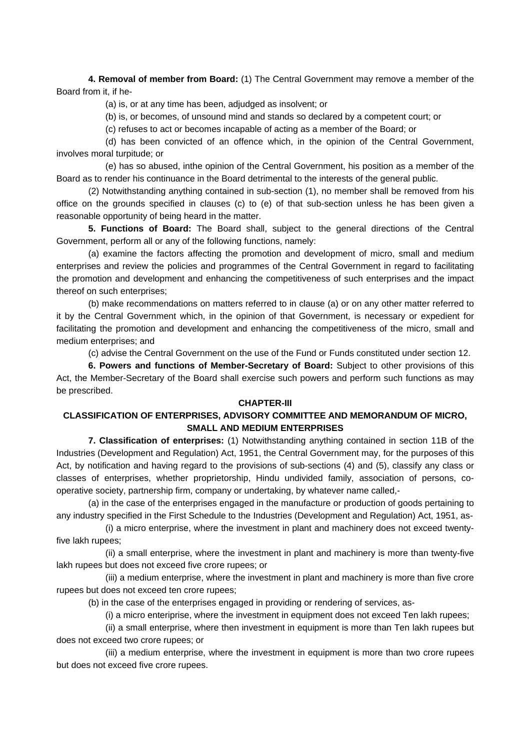**4. Removal of member from Board:** (1) The Central Government may remove a member of the Board from it, if he-

(a) is, or at any time has been, adjudged as insolvent; or

(b) is, or becomes, of unsound mind and stands so declared by a competent court; or

(c) refuses to act or becomes incapable of acting as a member of the Board; or

 (d) has been convicted of an offence which, in the opinion of the Central Government, involves moral turpitude; or

 (e) has so abused, inthe opinion of the Central Government, his position as a member of the Board as to render his continuance in the Board detrimental to the interests of the general public.

 (2) Notwithstanding anything contained in sub-section (1), no member shall be removed from his office on the grounds specified in clauses (c) to (e) of that sub-section unless he has been given a reasonable opportunity of being heard in the matter.

**5. Functions of Board:** The Board shall, subject to the general directions of the Central Government, perform all or any of the following functions, namely:

 (a) examine the factors affecting the promotion and development of micro, small and medium enterprises and review the policies and programmes of the Central Government in regard to facilitating the promotion and development and enhancing the competitiveness of such enterprises and the impact thereof on such enterprises;

 (b) make recommendations on matters referred to in clause (a) or on any other matter referred to it by the Central Government which, in the opinion of that Government, is necessary or expedient for facilitating the promotion and development and enhancing the competitiveness of the micro, small and medium enterprises; and

(c) advise the Central Government on the use of the Fund or Funds constituted under section 12.

**6. Powers and functions of Member-Secretary of Board:** Subject to other provisions of this Act, the Member-Secretary of the Board shall exercise such powers and perform such functions as may be prescribed.

### **CHAPTER-III**

## **CLASSIFICATION OF ENTERPRISES, ADVISORY COMMITTEE AND MEMORANDUM OF MICRO, SMALL AND MEDIUM ENTERPRISES**

**7. Classification of enterprises:** (1) Notwithstanding anything contained in section 11B of the Industries (Development and Regulation) Act, 1951, the Central Government may, for the purposes of this Act, by notification and having regard to the provisions of sub-sections (4) and (5), classify any class or classes of enterprises, whether proprietorship, Hindu undivided family, association of persons, cooperative society, partnership firm, company or undertaking, by whatever name called,-

 (a) in the case of the enterprises engaged in the manufacture or production of goods pertaining to any industry specified in the First Schedule to the Industries (Development and Regulation) Act, 1951, as-

 (i) a micro enterprise, where the investment in plant and machinery does not exceed twentyfive lakh rupees;

 (ii) a small enterprise, where the investment in plant and machinery is more than twenty-five lakh rupees but does not exceed five crore rupees; or

 (iii) a medium enterprise, where the investment in plant and machinery is more than five crore rupees but does not exceed ten crore rupees;

(b) in the case of the enterprises engaged in providing or rendering of services, as-

(i) a micro enteriprise, where the investment in equipment does not exceed Ten lakh rupees;

 (ii) a small enterprise, where then investment in equipment is more than Ten lakh rupees but does not exceed two crore rupees; or

 (iii) a medium enterprise, where the investment in equipment is more than two crore rupees but does not exceed five crore rupees.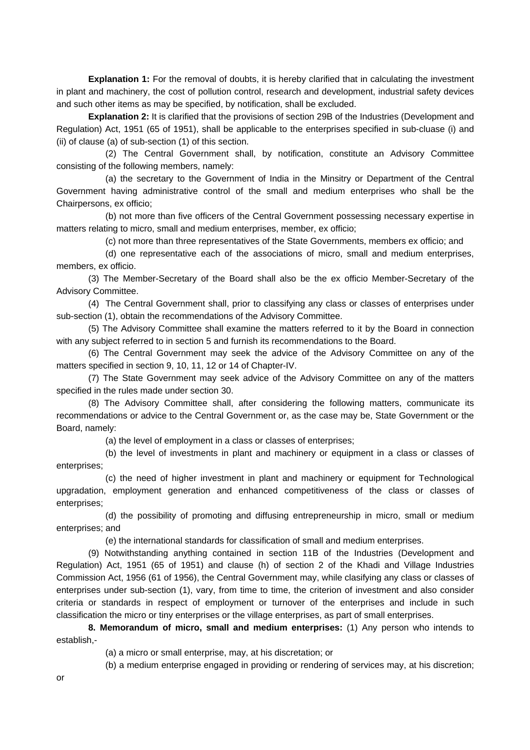**Explanation 1:** For the removal of doubts, it is hereby clarified that in calculating the investment in plant and machinery, the cost of pollution control, research and development, industrial safety devices and such other items as may be specified, by notification, shall be excluded.

**Explanation 2:** It is clarified that the provisions of section 29B of the Industries (Development and Regulation) Act, 1951 (65 of 1951), shall be applicable to the enterprises specified in sub-cluase (i) and (ii) of clause (a) of sub-section (1) of this section.

 (2) The Central Government shall, by notification, constitute an Advisory Committee consisting of the following members, namely:

 (a) the secretary to the Government of India in the Minsitry or Department of the Central Government having administrative control of the small and medium enterprises who shall be the Chairpersons, ex officio;

 (b) not more than five officers of the Central Government possessing necessary expertise in matters relating to micro, small and medium enterprises, member, ex officio;

(c) not more than three representatives of the State Governments, members ex officio; and

 (d) one representative each of the associations of micro, small and medium enterprises, members, ex officio.

 (3) The Member-Secretary of the Board shall also be the ex officio Member-Secretary of the Advisory Committee.

 (4) The Central Government shall, prior to classifying any class or classes of enterprises under sub-section (1), obtain the recommendations of the Advisory Committee.

 (5) The Advisory Committee shall examine the matters referred to it by the Board in connection with any subject referred to in section 5 and furnish its recommendations to the Board.

 (6) The Central Government may seek the advice of the Advisory Committee on any of the matters specified in section 9, 10, 11, 12 or 14 of Chapter-IV.

 (7) The State Government may seek advice of the Advisory Committee on any of the matters specified in the rules made under section 30.

 (8) The Advisory Committee shall, after considering the following matters, communicate its recommendations or advice to the Central Government or, as the case may be, State Government or the Board, namely:

(a) the level of employment in a class or classes of enterprises;

 (b) the level of investments in plant and machinery or equipment in a class or classes of enterprises;

 (c) the need of higher investment in plant and machinery or equipment for Technological upgradation, employment generation and enhanced competitiveness of the class or classes of enterprises;

 (d) the possibility of promoting and diffusing entrepreneurship in micro, small or medium enterprises; and

(e) the international standards for classification of small and medium enterprises.

 (9) Notwithstanding anything contained in section 11B of the Industries (Development and Regulation) Act, 1951 (65 of 1951) and clause (h) of section 2 of the Khadi and Village Industries Commission Act, 1956 (61 of 1956), the Central Government may, while clasifying any class or classes of enterprises under sub-section (1), vary, from time to time, the criterion of investment and also consider criteria or standards in respect of employment or turnover of the enterprises and include in such classification the micro or tiny enterprises or the village enterprises, as part of small enterprises.

**8. Memorandum of micro, small and medium enterprises:** (1) Any person who intends to establish,-

(a) a micro or small enterprise, may, at his discretation; or

(b) a medium enterprise engaged in providing or rendering of services may, at his discretion;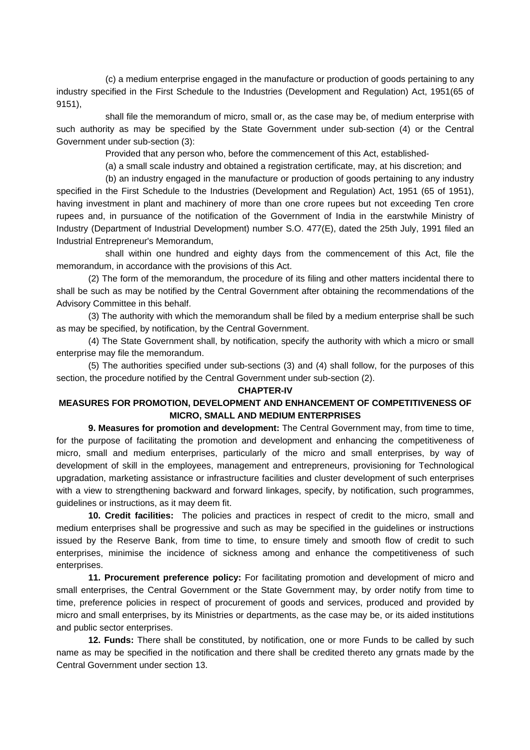(c) a medium enterprise engaged in the manufacture or production of goods pertaining to any industry specified in the First Schedule to the Industries (Development and Regulation) Act, 1951(65 of 9151),

 shall file the memorandum of micro, small or, as the case may be, of medium enterprise with such authority as may be specified by the State Government under sub-section (4) or the Central Government under sub-section (3):

Provided that any person who, before the commencement of this Act, established-

(a) a small scale industry and obtained a registration certificate, may, at his discretion; and

 (b) an industry engaged in the manufacture or production of goods pertaining to any industry specified in the First Schedule to the Industries (Development and Regulation) Act, 1951 (65 of 1951), having investment in plant and machinery of more than one crore rupees but not exceeding Ten crore rupees and, in pursuance of the notification of the Government of India in the earstwhile Ministry of Industry (Department of Industrial Development) number S.O. 477(E), dated the 25th July, 1991 filed an Industrial Entrepreneur's Memorandum,

 shall within one hundred and eighty days from the commencement of this Act, file the memorandum, in accordance with the provisions of this Act.

 (2) The form of the memorandum, the procedure of its filing and other matters incidental there to shall be such as may be notified by the Central Government after obtaining the recommendations of the Advisory Committee in this behalf.

 (3) The authority with which the memorandum shall be filed by a medium enterprise shall be such as may be specified, by notification, by the Central Government.

 (4) The State Government shall, by notification, specify the authority with which a micro or small enterprise may file the memorandum.

 (5) The authorities specified under sub-sections (3) and (4) shall follow, for the purposes of this section, the procedure notified by the Central Government under sub-section (2).

#### **CHAPTER-IV**

## **MEASURES FOR PROMOTION, DEVELOPMENT AND ENHANCEMENT OF COMPETITIVENESS OF MICRO, SMALL AND MEDIUM ENTERPRISES**

**9. Measures for promotion and development:** The Central Government may, from time to time, for the purpose of facilitating the promotion and development and enhancing the competitiveness of micro, small and medium enterprises, particularly of the micro and small enterprises, by way of development of skill in the employees, management and entrepreneurs, provisioning for Technological upgradation, marketing assistance or infrastructure facilities and cluster development of such enterprises with a view to strengthening backward and forward linkages, specify, by notification, such programmes, guidelines or instructions, as it may deem fit.

**10. Credit facilities:** The policies and practices in respect of credit to the micro, small and medium enterprises shall be progressive and such as may be specified in the guidelines or instructions issued by the Reserve Bank, from time to time, to ensure timely and smooth flow of credit to such enterprises, minimise the incidence of sickness among and enhance the competitiveness of such enterprises.

**11. Procurement preference policy:** For facilitating promotion and development of micro and small enterprises, the Central Government or the State Government may, by order notify from time to time, preference policies in respect of procurement of goods and services, produced and provided by micro and small enterprises, by its Ministries or departments, as the case may be, or its aided institutions and public sector enterprises.

**12. Funds:** There shall be constituted, by notification, one or more Funds to be called by such name as may be specified in the notification and there shall be credited thereto any grnats made by the Central Government under section 13.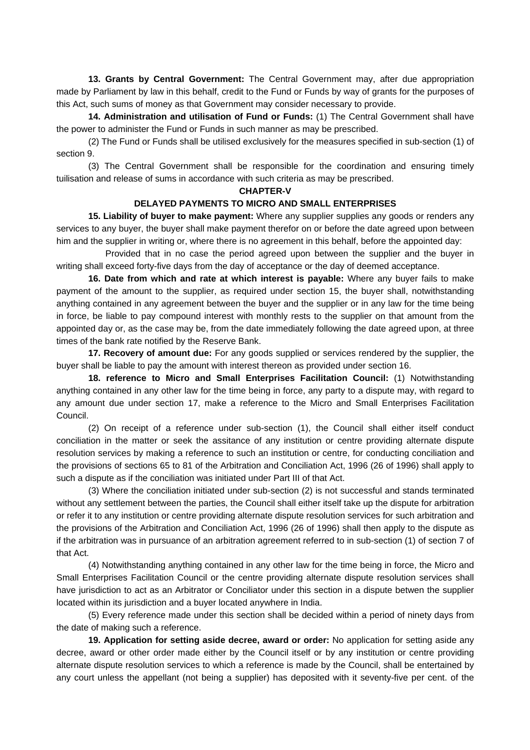**13. Grants by Central Government:** The Central Government may, after due appropriation made by Parliament by law in this behalf, credit to the Fund or Funds by way of grants for the purposes of this Act, such sums of money as that Government may consider necessary to provide.

**14. Administration and utilisation of Fund or Funds:** (1) The Central Government shall have the power to administer the Fund or Funds in such manner as may be prescribed.

 (2) The Fund or Funds shall be utilised exclusively for the measures specified in sub-section (1) of section 9.

 (3) The Central Government shall be responsible for the coordination and ensuring timely tuilisation and release of sums in accordance with such criteria as may be prescribed.

#### **CHAPTER-V**

### **DELAYED PAYMENTS TO MICRO AND SMALL ENTERPRISES**

 **15. Liability of buyer to make payment:** Where any supplier supplies any goods or renders any services to any buyer, the buyer shall make payment therefor on or before the date agreed upon between him and the supplier in writing or, where there is no agreement in this behalf, before the appointed day:

 Provided that in no case the period agreed upon between the supplier and the buyer in writing shall exceed forty-five days from the day of acceptance or the day of deemed acceptance.

**16. Date from which and rate at which interest is payable:** Where any buyer fails to make payment of the amount to the supplier, as required under section 15, the buyer shall, notwithstanding anything contained in any agreement between the buyer and the supplier or in any law for the time being in force, be liable to pay compound interest with monthly rests to the supplier on that amount from the appointed day or, as the case may be, from the date immediately following the date agreed upon, at three times of the bank rate notified by the Reserve Bank.

**17. Recovery of amount due:** For any goods supplied or services rendered by the supplier, the buyer shall be liable to pay the amount with interest thereon as provided under section 16.

**18. reference to Micro and Small Enterprises Facilitation Council:** (1) Notwithstanding anything contained in any other law for the time being in force, any party to a dispute may, with regard to any amount due under section 17, make a reference to the Micro and Small Enterprises Facilitation Council.

 (2) On receipt of a reference under sub-section (1), the Council shall either itself conduct conciliation in the matter or seek the assitance of any institution or centre providing alternate dispute resolution services by making a reference to such an institution or centre, for conducting conciliation and the provisions of sections 65 to 81 of the Arbitration and Conciliation Act, 1996 (26 of 1996) shall apply to such a dispute as if the conciliation was initiated under Part III of that Act.

 (3) Where the conciliation initiated under sub-section (2) is not successful and stands terminated without any settlement between the parties, the Council shall either itself take up the dispute for arbitration or refer it to any institution or centre providing alternate dispute resolution services for such arbitration and the provisions of the Arbitration and Conciliation Act, 1996 (26 of 1996) shall then apply to the dispute as if the arbitration was in pursuance of an arbitration agreement referred to in sub-section (1) of section 7 of that Act.

 (4) Notwithstanding anything contained in any other law for the time being in force, the Micro and Small Enterprises Facilitation Council or the centre providing alternate dispute resolution services shall have jurisdiction to act as an Arbitrator or Conciliator under this section in a dispute betwen the supplier located within its jurisdiction and a buyer located anywhere in India.

 (5) Every reference made under this section shall be decided within a period of ninety days from the date of making such a reference.

**19. Application for setting aside decree, award or order:** No application for setting aside any decree, award or other order made either by the Council itself or by any institution or centre providing alternate dispute resolution services to which a reference is made by the Council, shall be entertained by any court unless the appellant (not being a supplier) has deposited with it seventy-five per cent. of the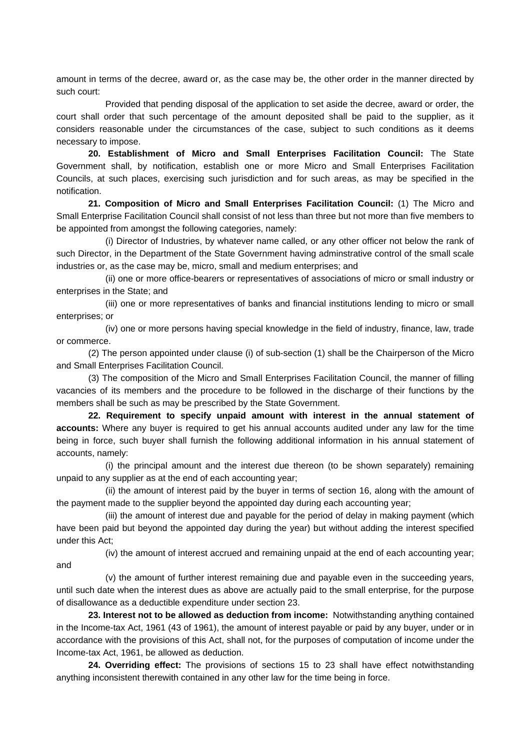amount in terms of the decree, award or, as the case may be, the other order in the manner directed by such court:

 Provided that pending disposal of the application to set aside the decree, award or order, the court shall order that such percentage of the amount deposited shall be paid to the supplier, as it considers reasonable under the circumstances of the case, subject to such conditions as it deems necessary to impose.

**20. Establishment of Micro and Small Enterprises Facilitation Council:** The State Government shall, by notification, establish one or more Micro and Small Enterprises Facilitation Councils, at such places, exercising such jurisdiction and for such areas, as may be specified in the notification.

**21. Composition of Micro and Small Enterprises Facilitation Council:** (1) The Micro and Small Enterprise Facilitation Council shall consist of not less than three but not more than five members to be appointed from amongst the following categories, namely:

 (i) Director of Industries, by whatever name called, or any other officer not below the rank of such Director, in the Department of the State Government having adminstrative control of the small scale industries or, as the case may be, micro, small and medium enterprises; and

 (ii) one or more office-bearers or representatives of associations of micro or small industry or enterprises in the State; and

 (iii) one or more representatives of banks and financial institutions lending to micro or small enterprises; or

 (iv) one or more persons having special knowledge in the field of industry, finance, law, trade or commerce.

 (2) The person appointed under clause (i) of sub-section (1) shall be the Chairperson of the Micro and Small Enterprises Facilitation Council.

 (3) The composition of the Micro and Small Enterprises Facilitation Council, the manner of filling vacancies of its members and the procedure to be followed in the discharge of their functions by the members shall be such as may be prescribed by the State Government.

**22. Requirement to specify unpaid amount with interest in the annual statement of accounts:** Where any buyer is required to get his annual accounts audited under any law for the time being in force, such buyer shall furnish the following additional information in his annual statement of accounts, namely:

 (i) the principal amount and the interest due thereon (to be shown separately) remaining unpaid to any supplier as at the end of each accounting year;

 (ii) the amount of interest paid by the buyer in terms of section 16, along with the amount of the payment made to the supplier beyond the appointed day during each accounting year;

 (iii) the amount of interest due and payable for the period of delay in making payment (which have been paid but beyond the appointed day during the year) but without adding the interest specified under this Act;

 (iv) the amount of interest accrued and remaining unpaid at the end of each accounting year; and

 (v) the amount of further interest remaining due and payable even in the succeeding years, until such date when the interest dues as above are actually paid to the small enterprise, for the purpose of disallowance as a deductible expenditure under section 23.

**23. Interest not to be allowed as deduction from income:** Notwithstanding anything contained in the Income-tax Act, 1961 (43 of 1961), the amount of interest payable or paid by any buyer, under or in accordance with the provisions of this Act, shall not, for the purposes of computation of income under the Income-tax Act, 1961, be allowed as deduction.

**24. Overriding effect:** The provisions of sections 15 to 23 shall have effect notwithstanding anything inconsistent therewith contained in any other law for the time being in force.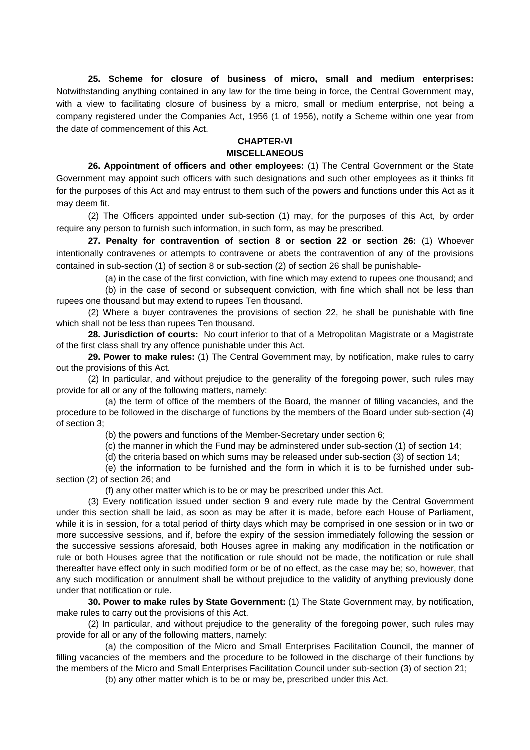**25. Scheme for closure of business of micro, small and medium enterprises:**  Notwithstanding anything contained in any law for the time being in force, the Central Government may, with a view to facilitating closure of business by a micro, small or medium enterprise, not being a company registered under the Companies Act, 1956 (1 of 1956), notify a Scheme within one year from the date of commencement of this Act.

# **CHAPTER-VI**

## **MISCELLANEOUS**

 **26. Appointment of officers and other employees:** (1) The Central Government or the State Government may appoint such officers with such designations and such other employees as it thinks fit for the purposes of this Act and may entrust to them such of the powers and functions under this Act as it may deem fit.

 (2) The Officers appointed under sub-section (1) may, for the purposes of this Act, by order require any person to furnish such information, in such form, as may be prescribed.

**27. Penalty for contravention of section 8 or section 22 or section 26:** (1) Whoever intentionally contravenes or attempts to contravene or abets the contravention of any of the provisions contained in sub-section (1) of section 8 or sub-section (2) of section 26 shall be punishable-

(a) in the case of the first conviction, with fine which may extend to rupees one thousand; and

 (b) in the case of second or subsequent conviction, with fine which shall not be less than rupees one thousand but may extend to rupees Ten thousand.

 (2) Where a buyer contravenes the provisions of section 22, he shall be punishable with fine which shall not be less than rupees Ten thousand.

**28. Jurisdiction of courts:** No court inferior to that of a Metropolitan Magistrate or a Magistrate of the first class shall try any offence punishable under this Act.

**29. Power to make rules:** (1) The Central Government may, by notification, make rules to carry out the provisions of this Act.

 (2) In particular, and without prejudice to the generality of the foregoing power, such rules may provide for all or any of the following matters, namely:

 (a) the term of office of the members of the Board, the manner of filling vacancies, and the procedure to be followed in the discharge of functions by the members of the Board under sub-section (4) of section 3;

(b) the powers and functions of the Member-Secretary under section 6;

(c) the manner in which the Fund may be adminstered under sub-section (1) of section 14;

(d) the criteria based on which sums may be released under sub-section (3) of section 14;

 (e) the information to be furnished and the form in which it is to be furnished under subsection (2) of section 26; and

(f) any other matter which is to be or may be prescribed under this Act.

 (3) Every notification issued under section 9 and every rule made by the Central Government under this section shall be laid, as soon as may be after it is made, before each House of Parliament, while it is in session, for a total period of thirty days which may be comprised in one session or in two or more successive sessions, and if, before the expiry of the session immediately following the session or the successive sessions aforesaid, both Houses agree in making any modification in the notification or rule or both Houses agree that the notification or rule should not be made, the notification or rule shall thereafter have effect only in such modified form or be of no effect, as the case may be; so, however, that any such modification or annulment shall be without prejudice to the validity of anything previously done under that notification or rule.

**30. Power to make rules by State Government:** (1) The State Government may, by notification, make rules to carry out the provisions of this Act.

 (2) In particular, and without prejudice to the generality of the foregoing power, such rules may provide for all or any of the following matters, namely:

 (a) the composition of the Micro and Small Enterprises Facilitation Council, the manner of filling vacancies of the members and the procedure to be followed in the discharge of their functions by the members of the Micro and Small Enterprises Facilitation Council under sub-section (3) of section 21;

(b) any other matter which is to be or may be, prescribed under this Act.